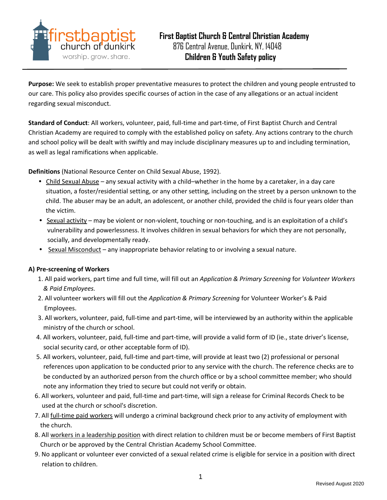

**Purpose:** We seek to establish proper preventative measures to protect the children and young people entrusted to our care. This policy also provides specific courses of action in the case of any allegations or an actual incident regarding sexual misconduct.

**Standard of Conduct**: All workers, volunteer, paid, full-time and part-time, of First Baptist Church and Central Christian Academy are required to comply with the established policy on safety. Any actions contrary to the church and school policy will be dealt with swiftly and may include disciplinary measures up to and including termination, as well as legal ramifications when applicable.

**Definitions** (National Resource Center on Child Sexual Abuse, 1992).

- **•** Child Sexual Abuse any sexual activity with a child–whether in the home by a caretaker, in a day care situation, a foster/residential setting, or any other setting, including on the street by a person unknown to the child. The abuser may be an adult, an adolescent, or another child, provided the child is four years older than the victim.
- **•** Sexual activity may be violent or non-violent, touching or non-touching, and is an exploitation of a child's vulnerability and powerlessness. It involves children in sexual behaviors for which they are not personally, socially, and developmentally ready.
- **•** Sexual Misconduct any inappropriate behavior relating to or involving a sexual nature.

# **A) Pre-screening of Workers**

- 1. All paid workers, part time and full time, will fill out an *Application & Primary Screening* for *Volunteer Workers & Paid Employees.*
- 2. All volunteer workers will fill out the *Application & Primary Screening* for Volunteer Worker's & Paid Employees.
- 3. All workers, volunteer, paid, full-time and part-time, will be interviewed by an authority within the applicable ministry of the church or school.
- 4. All workers, volunteer, paid, full-time and part-time, will provide a valid form of ID (ie., state driver's license, social security card, or other acceptable form of ID).
- 5. All workers, volunteer, paid, full-time and part-time, will provide at least two (2) professional or personal references upon application to be conducted prior to any service with the church. The reference checks are to be conducted by an authorized person from the church office or by a school committee member; who should note any information they tried to secure but could not verify or obtain.
- 6. All workers, volunteer and paid, full-time and part-time, will sign a release for Criminal Records Check to be used at the church or school's discretion.
- 7. All full-time paid workers will undergo a criminal background check prior to any activity of employment with the church.
- 8. All workers in a leadership position with direct relation to children must be or become members of First Baptist Church or be approved by the Central Christian Academy School Committee.
- 9. No applicant or volunteer ever convicted of a sexual related crime is eligible for service in a position with direct relation to children.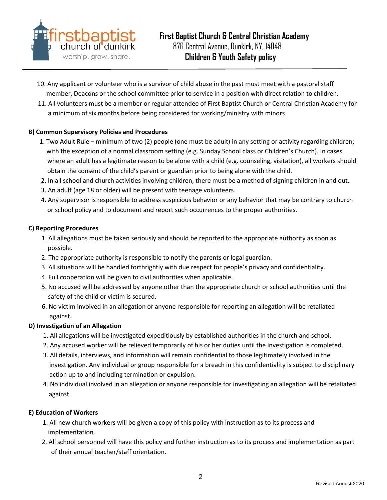

- 10. Any applicant or volunteer who is a survivor of child abuse in the past must meet with a pastoral staff member, Deacons or the school committee prior to service in a position with direct relation to children.
- 11. All volunteers must be a member or regular attendee of First Baptist Church or Central Christian Academy for a minimum of six months before being considered for working/ministry with minors.

# **B) Common Supervisory Policies and Procedures**

- 1. Two Adult Rule minimum of two (2) people (one must be adult) in any setting or activity regarding children; with the exception of a normal classroom setting (e.g. Sunday School class or Children's Church). In cases where an adult has a legitimate reason to be alone with a child (e.g. counseling, visitation), all workers should obtain the consent of the child's parent or guardian prior to being alone with the child.
- 2. In all school and church activities involving children, there must be a method of signing children in and out.
- 3. An adult (age 18 or older) will be present with teenage volunteers.
- 4. Any supervisor is responsible to address suspicious behavior or any behavior that may be contrary to church or school policy and to document and report such occurrences to the proper authorities.

#### **C) Reporting Procedures**

- 1. All allegations must be taken seriously and should be reported to the appropriate authority as soon as possible.
- 2. The appropriate authority is responsible to notify the parents or legal guardian.
- 3. All situations will be handled forthrightly with due respect for people's privacy and confidentiality.
- 4. Full cooperation will be given to civil authorities when applicable.
- 5. No accused will be addressed by anyone other than the appropriate church or school authorities until the safety of the child or victim is secured.
- 6. No victim involved in an allegation or anyone responsible for reporting an allegation will be retaliated against.

### **D) Investigation of an Allegation**

- 1. All allegations will be investigated expeditiously by established authorities in the church and school.
- 2. Any accused worker will be relieved temporarily of his or her duties until the investigation is completed.
- 3. All details, interviews, and information will remain confidential to those legitimately involved in the investigation. Any individual or group responsible for a breach in this confidentiality is subject to disciplinary action up to and including termination or expulsion.
- 4. No individual involved in an allegation or anyone responsible for investigating an allegation will be retaliated against.

### **E) Education of Workers**

- 1. All new church workers will be given a copy of this policy with instruction as to its process and implementation.
- 2. All school personnel will have this policy and further instruction as to its process and implementation as part of their annual teacher/staff orientation.